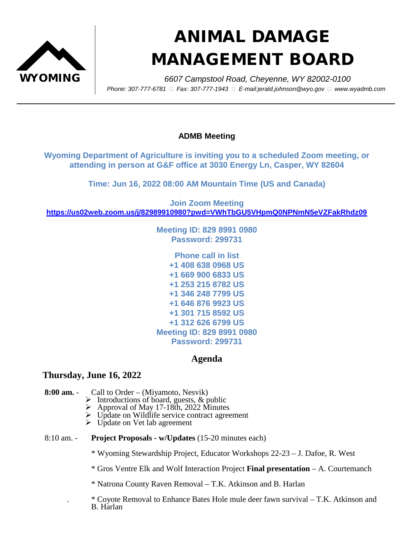

## ANIMAL DAMAGE MANAGEMENT BOARD

 WYOMING *6607 Campstool Road, Cheyenne, WY 82002-0100 Phone: 307-777-6781 Fax: 307-777-1943 E-mail:jerald.johnson@wyo.gov www.wyadmb.com*

## **ADMB Meeting**

**Wyoming Department of Agriculture is inviting you to a scheduled Zoom meeting, or attending in person at G&F office at 3030 Energy Ln, Casper, WY 82604**

**Time: Jun 16, 2022 08:00 AM Mountain Time (US and Canada)**

**Join Zoom Meeting <https://us02web.zoom.us/j/82989910980?pwd=VWhTbGU5VHpmQ0NPNmN5eVZFakRhdz09>**

> **Meeting ID: 829 8991 0980 Password: 299731**

> **Phone call in list +1 408 638 0968 US +1 669 900 6833 US +1 253 215 8782 US +1 346 248 7799 US +1 646 876 9923 US +1 301 715 8592 US +1 312 626 6799 US Meeting ID: 829 8991 0980 Password: 299731**

## **Agenda**

## **Thursday, June 16, 2022**

- **8:00 am.** Call to Order (Miyamoto, Nesvik)
	- Introductions of board, guests, & public Approval of May 17-18th, 2022 Minutes
	-
	- → Update on Wildlife service contract agreement<br>
	→ Update on Vet lab agreement
	-
- 8:10 am. **Project Proposals - w/Updates** (15-20 minutes each)

\* Wyoming Stewardship Project, Educator Workshops 22-23 – J. Dafoe, R. West

\* Gros Ventre Elk and Wolf Interaction Project **Final presentation** – A. Courtemanch

\* Natrona County Raven Removal – T.K. Atkinson and B. Harlan

. \* Coyote Removal to Enhance Bates Hole mule deer fawn survival – T.K. Atkinson and B. Harlan